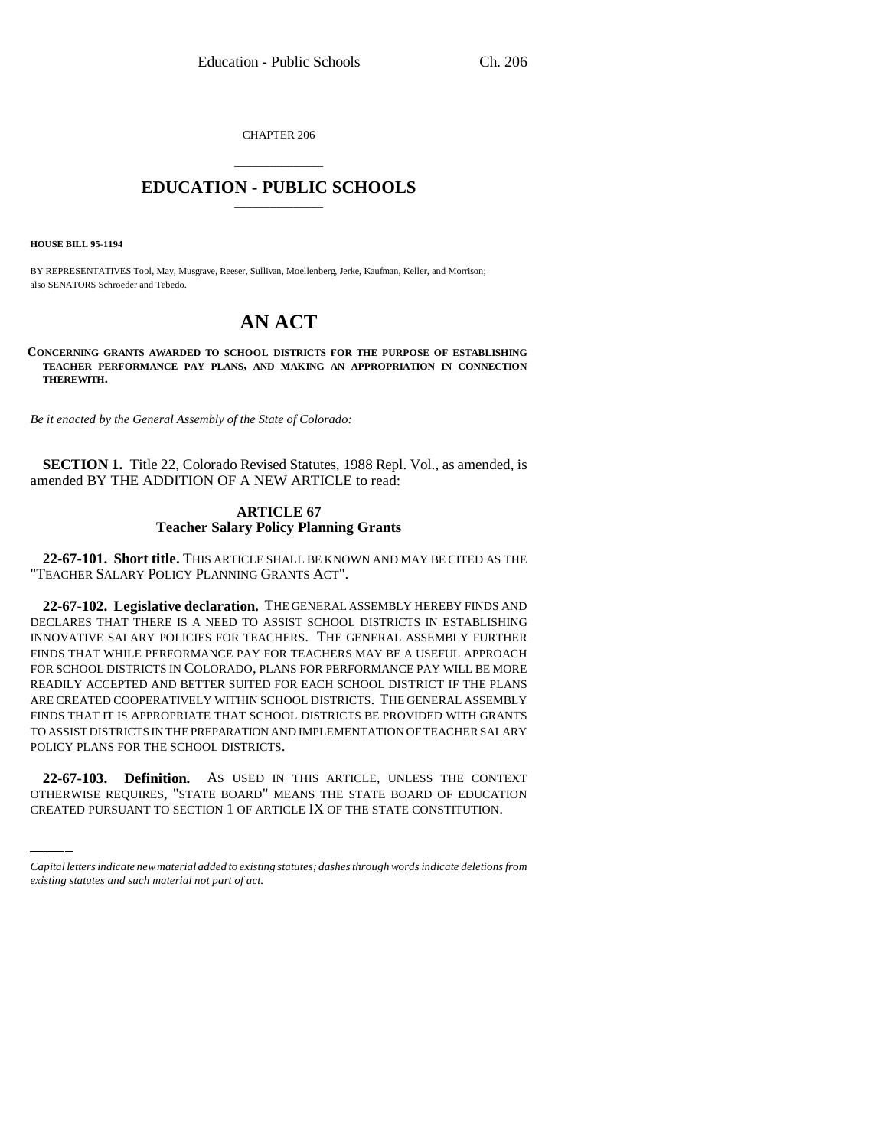CHAPTER 206

## \_\_\_\_\_\_\_\_\_\_\_\_\_\_\_ **EDUCATION - PUBLIC SCHOOLS** \_\_\_\_\_\_\_\_\_\_\_\_\_\_\_

**HOUSE BILL 95-1194**

BY REPRESENTATIVES Tool, May, Musgrave, Reeser, Sullivan, Moellenberg, Jerke, Kaufman, Keller, and Morrison; also SENATORS Schroeder and Tebedo.

# **AN ACT**

**CONCERNING GRANTS AWARDED TO SCHOOL DISTRICTS FOR THE PURPOSE OF ESTABLISHING TEACHER PERFORMANCE PAY PLANS, AND MAKING AN APPROPRIATION IN CONNECTION THEREWITH.**

*Be it enacted by the General Assembly of the State of Colorado:*

**SECTION 1.** Title 22, Colorado Revised Statutes, 1988 Repl. Vol., as amended, is amended BY THE ADDITION OF A NEW ARTICLE to read:

## **ARTICLE 67 Teacher Salary Policy Planning Grants**

**22-67-101. Short title.** THIS ARTICLE SHALL BE KNOWN AND MAY BE CITED AS THE "TEACHER SALARY POLICY PLANNING GRANTS ACT".

POLICY PLANS FOR THE SCHOOL DISTRICTS. **22-67-102. Legislative declaration.** THE GENERAL ASSEMBLY HEREBY FINDS AND DECLARES THAT THERE IS A NEED TO ASSIST SCHOOL DISTRICTS IN ESTABLISHING INNOVATIVE SALARY POLICIES FOR TEACHERS. THE GENERAL ASSEMBLY FURTHER FINDS THAT WHILE PERFORMANCE PAY FOR TEACHERS MAY BE A USEFUL APPROACH FOR SCHOOL DISTRICTS IN COLORADO, PLANS FOR PERFORMANCE PAY WILL BE MORE READILY ACCEPTED AND BETTER SUITED FOR EACH SCHOOL DISTRICT IF THE PLANS ARE CREATED COOPERATIVELY WITHIN SCHOOL DISTRICTS. THE GENERAL ASSEMBLY FINDS THAT IT IS APPROPRIATE THAT SCHOOL DISTRICTS BE PROVIDED WITH GRANTS TO ASSIST DISTRICTS IN THE PREPARATION AND IMPLEMENTATION OF TEACHER SALARY

**22-67-103. Definition.** AS USED IN THIS ARTICLE, UNLESS THE CONTEXT OTHERWISE REQUIRES, "STATE BOARD" MEANS THE STATE BOARD OF EDUCATION CREATED PURSUANT TO SECTION 1 OF ARTICLE IX OF THE STATE CONSTITUTION.

*Capital letters indicate new material added to existing statutes; dashes through words indicate deletions from existing statutes and such material not part of act.*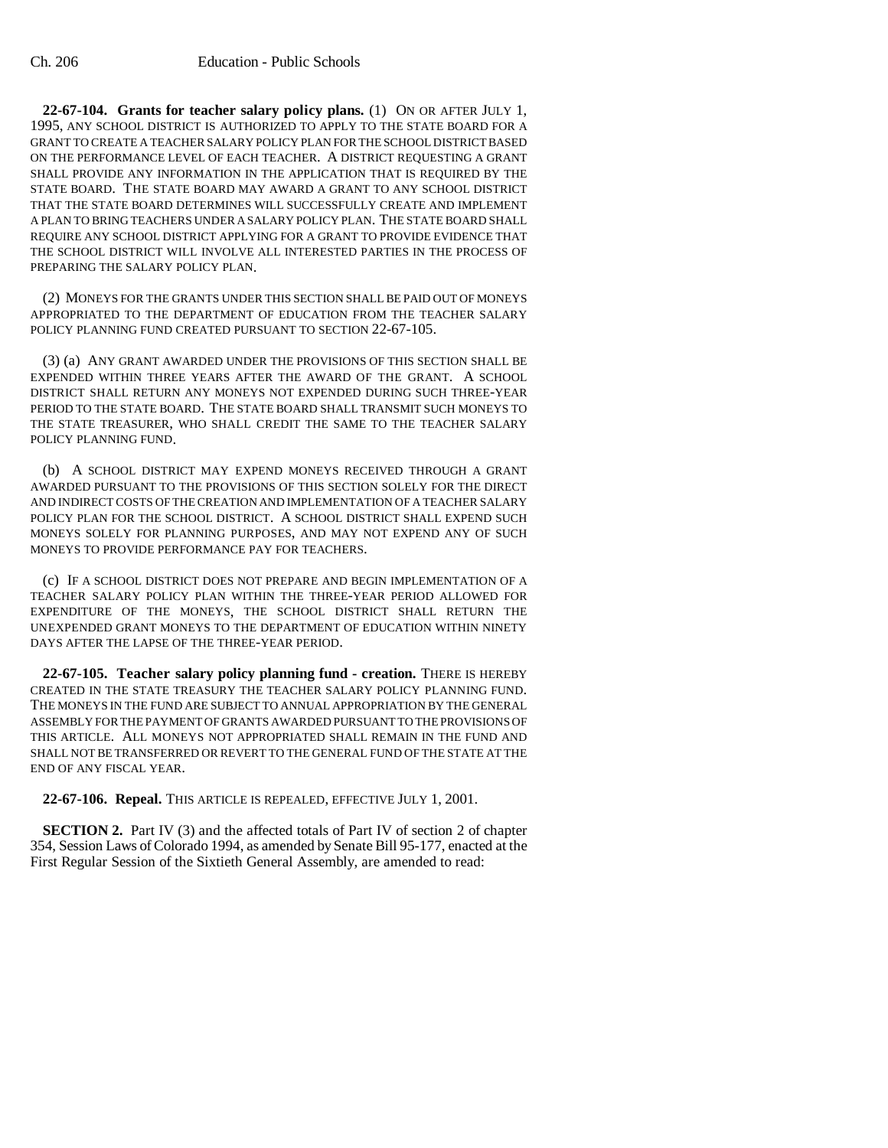**22-67-104. Grants for teacher salary policy plans.** (1) ON OR AFTER JULY 1, 1995, ANY SCHOOL DISTRICT IS AUTHORIZED TO APPLY TO THE STATE BOARD FOR A GRANT TO CREATE A TEACHER SALARY POLICY PLAN FOR THE SCHOOL DISTRICT BASED ON THE PERFORMANCE LEVEL OF EACH TEACHER. A DISTRICT REQUESTING A GRANT SHALL PROVIDE ANY INFORMATION IN THE APPLICATION THAT IS REQUIRED BY THE STATE BOARD. THE STATE BOARD MAY AWARD A GRANT TO ANY SCHOOL DISTRICT THAT THE STATE BOARD DETERMINES WILL SUCCESSFULLY CREATE AND IMPLEMENT A PLAN TO BRING TEACHERS UNDER A SALARY POLICY PLAN. THE STATE BOARD SHALL REQUIRE ANY SCHOOL DISTRICT APPLYING FOR A GRANT TO PROVIDE EVIDENCE THAT THE SCHOOL DISTRICT WILL INVOLVE ALL INTERESTED PARTIES IN THE PROCESS OF PREPARING THE SALARY POLICY PLAN.

(2) MONEYS FOR THE GRANTS UNDER THIS SECTION SHALL BE PAID OUT OF MONEYS APPROPRIATED TO THE DEPARTMENT OF EDUCATION FROM THE TEACHER SALARY POLICY PLANNING FUND CREATED PURSUANT TO SECTION 22-67-105.

(3) (a) ANY GRANT AWARDED UNDER THE PROVISIONS OF THIS SECTION SHALL BE EXPENDED WITHIN THREE YEARS AFTER THE AWARD OF THE GRANT. A SCHOOL DISTRICT SHALL RETURN ANY MONEYS NOT EXPENDED DURING SUCH THREE-YEAR PERIOD TO THE STATE BOARD. THE STATE BOARD SHALL TRANSMIT SUCH MONEYS TO THE STATE TREASURER, WHO SHALL CREDIT THE SAME TO THE TEACHER SALARY POLICY PLANNING FUND.

(b) A SCHOOL DISTRICT MAY EXPEND MONEYS RECEIVED THROUGH A GRANT AWARDED PURSUANT TO THE PROVISIONS OF THIS SECTION SOLELY FOR THE DIRECT AND INDIRECT COSTS OF THE CREATION AND IMPLEMENTATION OF A TEACHER SALARY POLICY PLAN FOR THE SCHOOL DISTRICT. A SCHOOL DISTRICT SHALL EXPEND SUCH MONEYS SOLELY FOR PLANNING PURPOSES, AND MAY NOT EXPEND ANY OF SUCH MONEYS TO PROVIDE PERFORMANCE PAY FOR TEACHERS.

(c) IF A SCHOOL DISTRICT DOES NOT PREPARE AND BEGIN IMPLEMENTATION OF A TEACHER SALARY POLICY PLAN WITHIN THE THREE-YEAR PERIOD ALLOWED FOR EXPENDITURE OF THE MONEYS, THE SCHOOL DISTRICT SHALL RETURN THE UNEXPENDED GRANT MONEYS TO THE DEPARTMENT OF EDUCATION WITHIN NINETY DAYS AFTER THE LAPSE OF THE THREE-YEAR PERIOD.

**22-67-105. Teacher salary policy planning fund - creation.** THERE IS HEREBY CREATED IN THE STATE TREASURY THE TEACHER SALARY POLICY PLANNING FUND. THE MONEYS IN THE FUND ARE SUBJECT TO ANNUAL APPROPRIATION BY THE GENERAL ASSEMBLY FOR THE PAYMENT OF GRANTS AWARDED PURSUANT TO THE PROVISIONS OF THIS ARTICLE. ALL MONEYS NOT APPROPRIATED SHALL REMAIN IN THE FUND AND SHALL NOT BE TRANSFERRED OR REVERT TO THE GENERAL FUND OF THE STATE AT THE END OF ANY FISCAL YEAR.

**22-67-106. Repeal.** THIS ARTICLE IS REPEALED, EFFECTIVE JULY 1, 2001.

**SECTION 2.** Part IV (3) and the affected totals of Part IV of section 2 of chapter 354, Session Laws of Colorado 1994, as amended by Senate Bill 95-177, enacted at the First Regular Session of the Sixtieth General Assembly, are amended to read: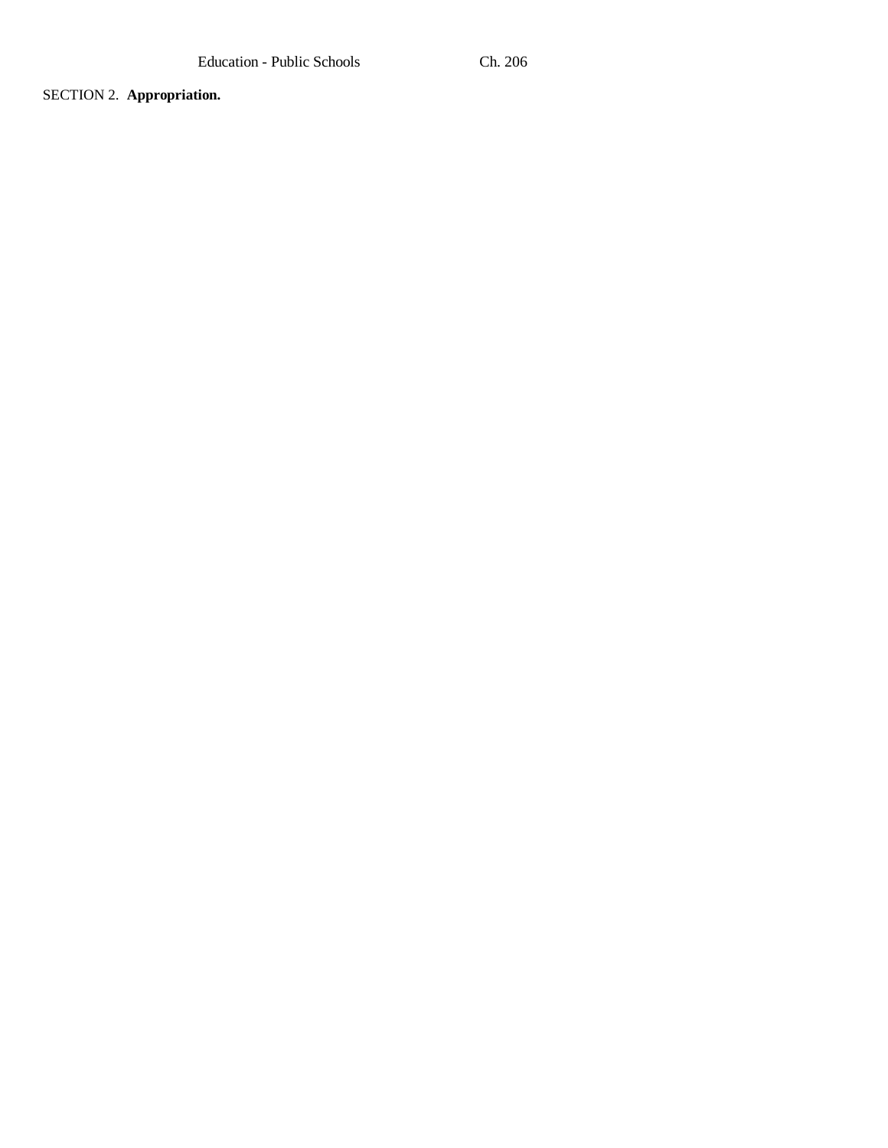SECTION 2. **Appropriation.**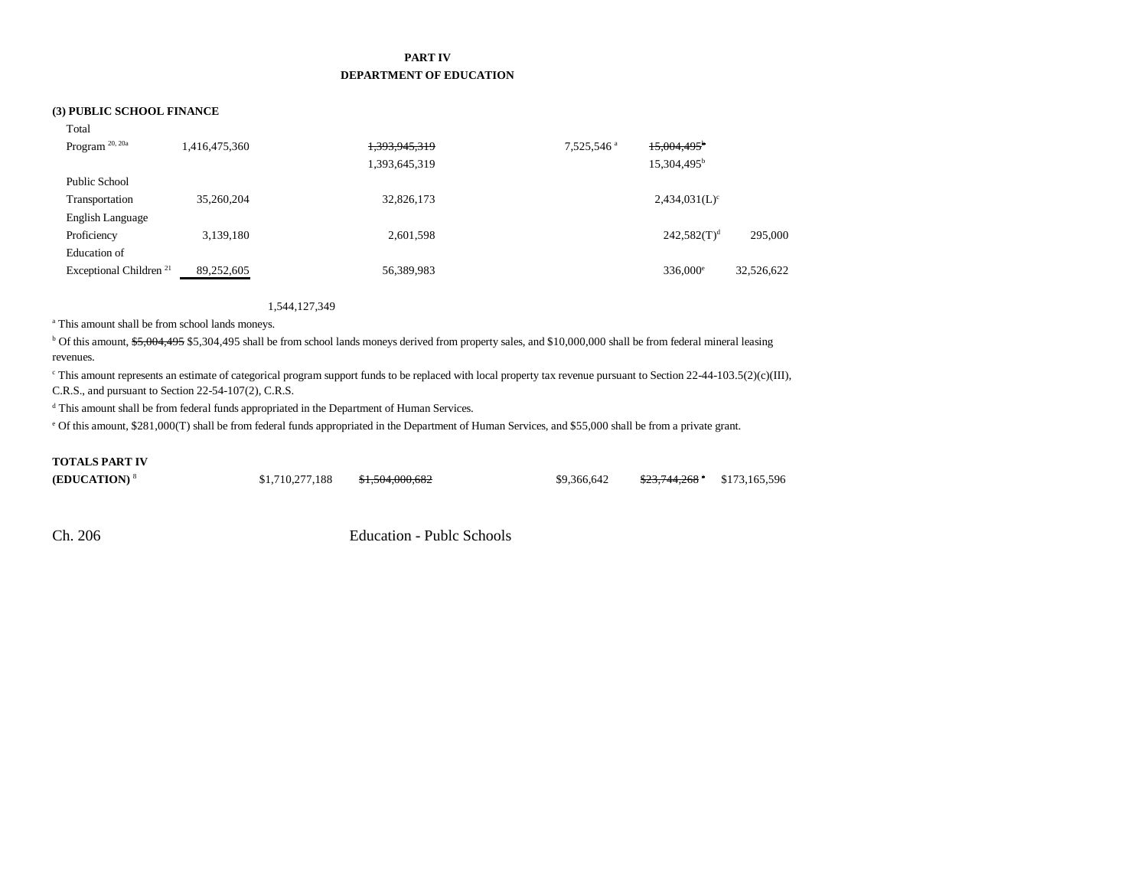## **PART IV DEPARTMENT OF EDUCATION**

### **(3) PUBLIC SCHOOL FINANCE**

| Total                              |               |               |                        |                           |            |
|------------------------------------|---------------|---------------|------------------------|---------------------------|------------|
| Program <sup>20, 20a</sup>         | 1,416,475,360 | 1,393,945,319 | 7,525,546 <sup>a</sup> | $15,004,495$ <sup>b</sup> |            |
|                                    |               | 1,393,645,319 |                        | 15,304,495 <sup>b</sup>   |            |
| Public School                      |               |               |                        |                           |            |
| Transportation                     | 35,260,204    | 32,826,173    |                        | $2,434,031(L)^c$          |            |
| English Language                   |               |               |                        |                           |            |
| Proficiency                        | 3,139,180     | 2,601,598     |                        | $242,582(T)^d$            | 295,000    |
| Education of                       |               |               |                        |                           |            |
| Exceptional Children <sup>21</sup> | 89,252,605    | 56,389,983    |                        | $336,000^{\circ}$         | 32,526,622 |

#### 1,544,127,349

<sup>a</sup> This amount shall be from school lands moneys.

<sup>b</sup> Of this amount, \$5,004,495 \$5,304,495 shall be from school lands moneys derived from property sales, and \$10,000,000 shall be from federal mineral leasing revenues.

c This amount represents an estimate of categorical program support funds to be replaced with local property tax revenue pursuant to Section 22-44-103.5(2)(c)(III), C.R.S., and pursuant to Section 22-54-107(2), C.R.S.

d This amount shall be from federal funds appropriated in the Department of Human Services.

e Of this amount, \$281,000(T) shall be from federal funds appropriated in the Department of Human Services, and \$55,000 shall be from a private grant.

## **TOTALS PART IV**

**(EDUCATION)**<sup>8</sup> \$1,710,277,188 \$1,504,000,682 \$9,366,642 \$23,744,268 \$173,165,596

Ch. 206 Education - Publc Schools